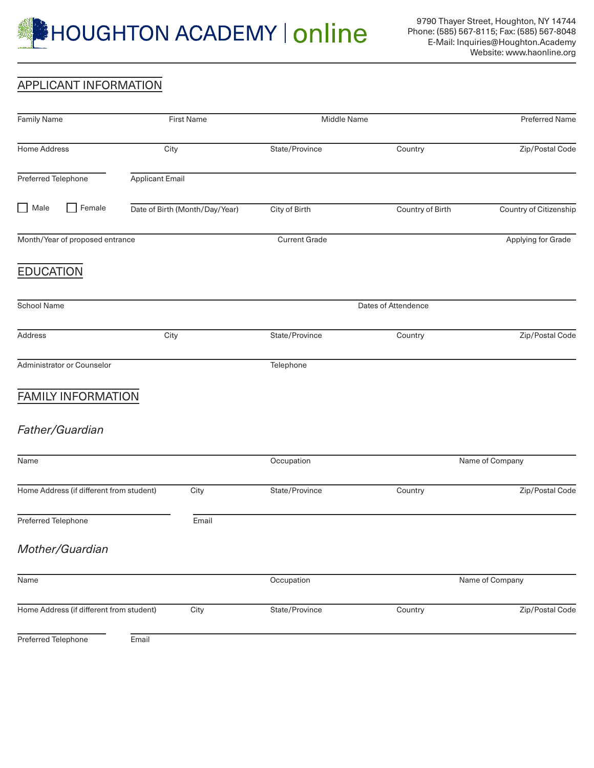

## APPLICANT INFORMATION

| <b>Family Name</b>                       | <b>First Name</b>              | Middle Name          | <b>Preferred Name</b> |                        |
|------------------------------------------|--------------------------------|----------------------|-----------------------|------------------------|
| Home Address                             | City                           | State/Province       | Country               | Zip/Postal Code        |
| Preferred Telephone                      | <b>Applicant Email</b>         |                      |                       |                        |
| $\Box$ Male<br>Female<br>$\Box$          | Date of Birth (Month/Day/Year) | City of Birth        | Country of Birth      | Country of Citizenship |
| Month/Year of proposed entrance          |                                | <b>Current Grade</b> |                       | Applying for Grade     |
| <b>EDUCATION</b>                         |                                |                      |                       |                        |
| <b>School Name</b>                       |                                | Dates of Attendence  |                       |                        |
| Address                                  | City                           | State/Province       | Country               | Zip/Postal Code        |
| Administrator or Counselor               |                                | Telephone            |                       |                        |
| <b>FAMILY INFORMATION</b>                |                                |                      |                       |                        |
| Father/Guardian                          |                                |                      |                       |                        |
| Name                                     |                                | Occupation           | Name of Company       |                        |
| Home Address (if different from student) | City                           | State/Province       | Country               | Zip/Postal Code        |
| Preferred Telephone                      | Email                          |                      |                       |                        |
| Mother/Guardian                          |                                |                      |                       |                        |
| Name                                     |                                | Occupation           | Name of Company       |                        |
| Home Address (if different from student) | City                           | State/Province       | Country               | Zip/Postal Code        |
| Preferred Telephone                      | Email                          |                      |                       |                        |